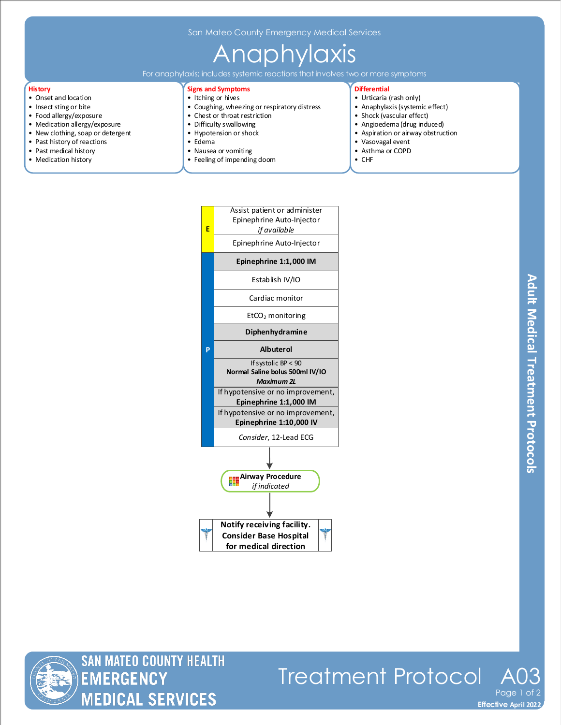San Mateo County Emergency Medical Services

## Anaphylaxis

For anaphylaxis; includes systemic reactions that involves two or more symptoms

#### **History**

- Onset and location
- Insect sting or bite
- Food allergy/exposure
- Medication allergy/exposure
- New clothing, soap or detergent
- Past history of reactions
- Past medical history
- Medication history

### **Signs and Symptoms**

- Itching or hives
- Coughing, wheezing or respiratory distress • Chest or throat restriction
- Difficulty swallowing
- Hypotension or shock
- Edema
- 
- Nausea or vomiting
- Feeling of impending doom

#### **Differential**

- Urticaria (rash only)
- Anaphylaxis (systemic effect)
- Shock (vascular effect)
- Angioedema (drug induced)
- Aspiration or airway obstruction
- Vasovagal event
- Asthma or COPD
- CHF

|  | E | Assist patient or administer<br>Epinephrine Auto-Injector<br>if available              |
|--|---|----------------------------------------------------------------------------------------|
|  |   | Epinephrine Auto-Injector                                                              |
|  |   | Epinephrine 1:1,000 IM                                                                 |
|  |   | Establish IV/IO                                                                        |
|  |   | Cardiac monitor                                                                        |
|  |   | $EtCO2$ monitoring                                                                     |
|  |   | Diphenhydramine                                                                        |
|  | P | <b>Albuterol</b>                                                                       |
|  |   | If systolic $BP < 90$<br>Normal Saline bolus 500ml IV/IO<br><b>Maximum 2L</b>          |
|  |   | If hypotensive or no improvement,                                                      |
|  |   | Epinephrine 1:1,000 IM<br>If hypotensive or no improvement,<br>Epinephrine 1:10,000 IV |
|  |   | Consider, 12-Lead ECG                                                                  |
|  |   |                                                                                        |
|  |   | <b>Airway Procedure</b><br>if indicated                                                |
|  |   |                                                                                        |
|  |   | Notify receiving facility.                                                             |
|  |   | <b>Consider Base Hospital</b><br>for medical direction                                 |
|  |   |                                                                                        |



# Treatment Protocol